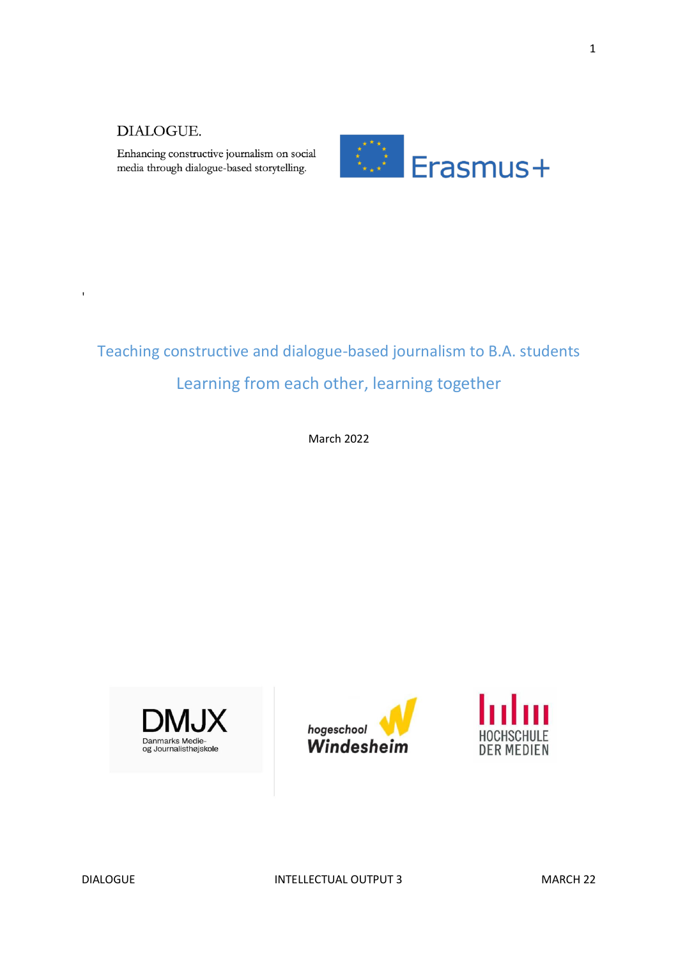'

Enhancing constructive journalism on social media through dialogue-based storytelling.



# Teaching constructive and dialogue-based journalism to B.A. students Learning from each other, learning together

March 2022







DIALOGUE **INTELLECTUAL OUTPUT 3** MARCH 22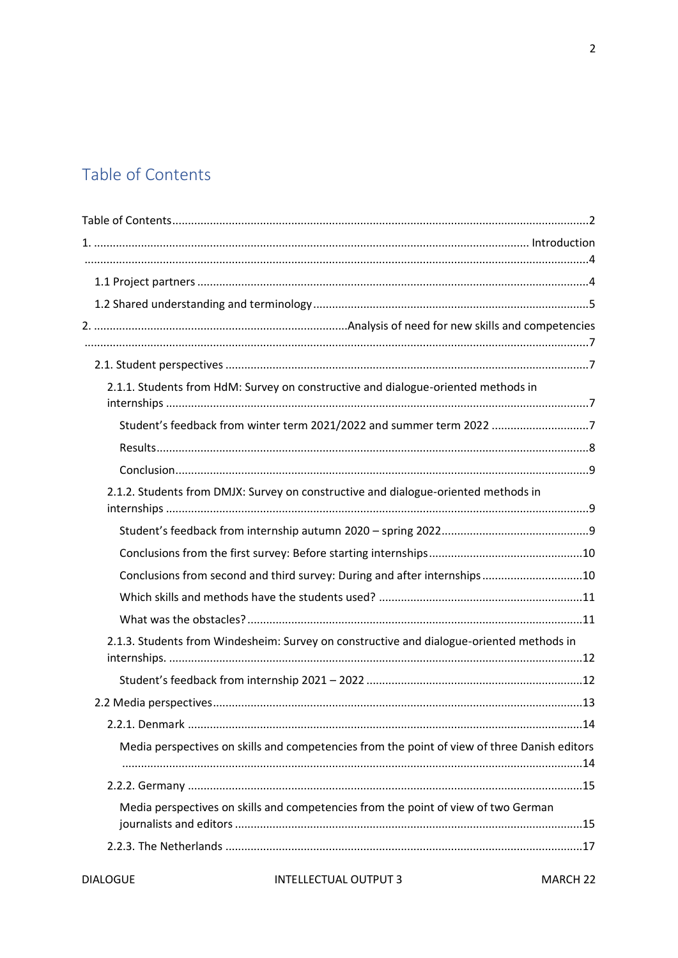# <span id="page-1-0"></span>Table of Contents

| 2.1.1. Students from HdM: Survey on constructive and dialogue-oriented methods in            |  |
|----------------------------------------------------------------------------------------------|--|
| Student's feedback from winter term 2021/2022 and summer term 2022 7                         |  |
|                                                                                              |  |
| 2.1.2. Students from DMJX: Survey on constructive and dialogue-oriented methods in           |  |
|                                                                                              |  |
|                                                                                              |  |
| Conclusions from second and third survey: During and after internships10                     |  |
|                                                                                              |  |
|                                                                                              |  |
| 2.1.3. Students from Windesheim: Survey on constructive and dialogue-oriented methods in     |  |
|                                                                                              |  |
|                                                                                              |  |
|                                                                                              |  |
| Media perspectives on skills and competencies from the point of view of three Danish editors |  |
|                                                                                              |  |
| Media perspectives on skills and competencies from the point of view of two German           |  |
|                                                                                              |  |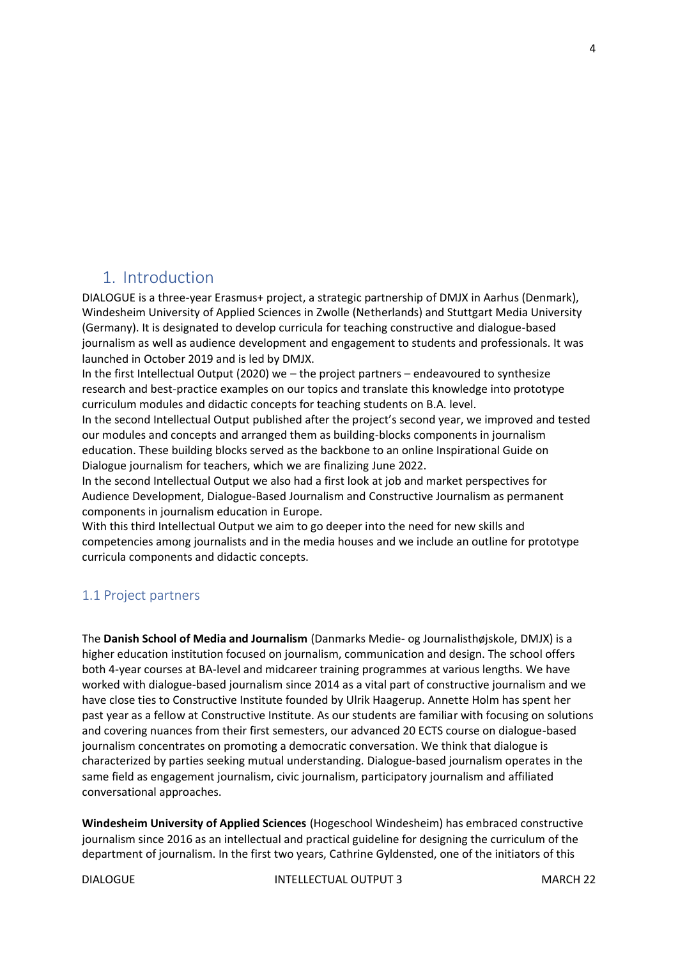# <span id="page-3-0"></span>1. Introduction

DIALOGUE is a three-year Erasmus+ project, a strategic partnership of DMJX in Aarhus (Denmark), Windesheim University of Applied Sciences in Zwolle (Netherlands) and Stuttgart Media University (Germany). It is designated to develop curricula for teaching constructive and dialogue-based journalism as well as audience development and engagement to students and professionals. It was launched in October 2019 and is led by DMJX.

In the first Intellectual Output (2020) we – the project partners – endeavoured to synthesize research and best-practice examples on our topics and translate this knowledge into prototype curriculum modules and didactic concepts for teaching students on B.A. level.

In the second Intellectual Output published after the project's second year, we improved and tested our modules and concepts and arranged them as building-blocks components in journalism education. These building blocks served as the backbone to an online Inspirational Guide on Dialogue journalism for teachers, which we are finalizing June 2022.

In the second Intellectual Output we also had a first look at job and market perspectives for Audience Development, Dialogue-Based Journalism and Constructive Journalism as permanent components in journalism education in Europe.

With this third Intellectual Output we aim to go deeper into the need for new skills and competencies among journalists and in the media houses and we include an outline for prototype curricula components and didactic concepts.

## <span id="page-3-1"></span>1.1 Project partners

The **Danish School of Media and Journalism** (Danmarks Medie- og Journalisthøjskole, DMJX) is a higher education institution focused on journalism, communication and design. The school offers both 4-year courses at BA-level and midcareer training programmes at various lengths. We have worked with dialogue-based journalism since 2014 as a vital part of constructive journalism and we have close ties to Constructive Institute founded by Ulrik Haagerup. Annette Holm has spent her past year as a fellow at Constructive Institute. As our students are familiar with focusing on solutions and covering nuances from their first semesters, our advanced 20 ECTS course on dialogue-based journalism concentrates on promoting a democratic conversation. We think that dialogue is characterized by parties seeking mutual understanding. Dialogue-based journalism operates in the same field as engagement journalism, civic journalism, participatory journalism and affiliated conversational approaches.

**Windesheim University of Applied Sciences** (Hogeschool Windesheim) has embraced constructive journalism since 2016 as an intellectual and practical guideline for designing the curriculum of the department of journalism. In the first two years, Cathrine Gyldensted, one of the initiators of this

DIALOGUE **INTELLECTUAL OUTPUT 3** MARCH 22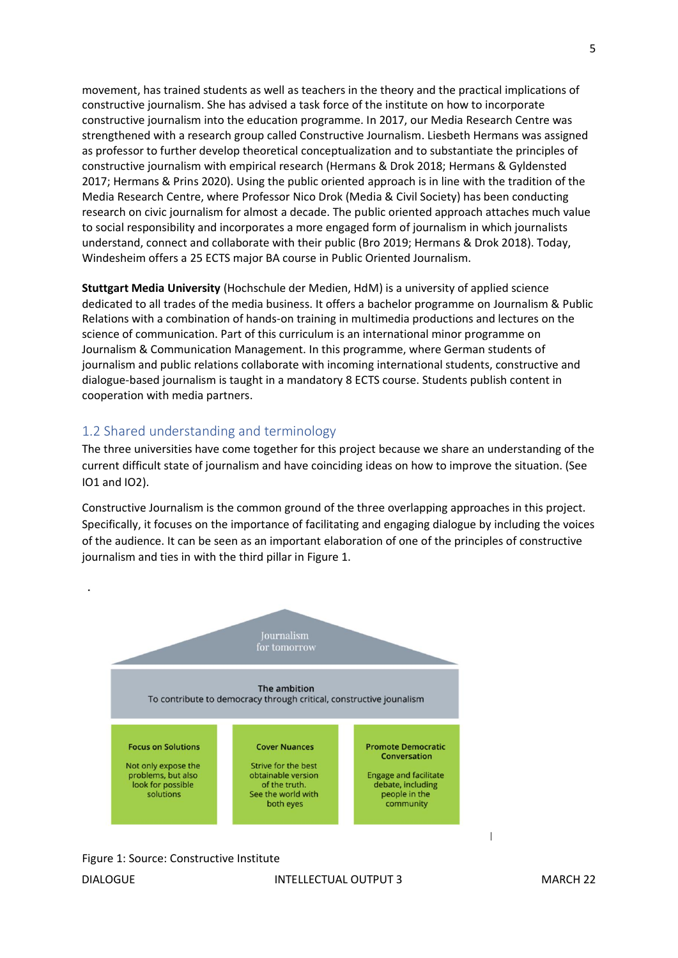movement, has trained students as well as teachers in the theory and the practical implications of constructive journalism. She has advised a task force of the institute on how to incorporate constructive journalism into the education programme. In 2017, our Media Research Centre was strengthened with a research group called Constructive Journalism. Liesbeth Hermans was assigned as professor to further develop theoretical conceptualization and to substantiate the principles of constructive journalism with empirical research (Hermans & Drok 2018; Hermans & Gyldensted 2017; Hermans & Prins 2020). Using the public oriented approach is in line with the tradition of the Media Research Centre, where Professor Nico Drok (Media & Civil Society) has been conducting research on civic journalism for almost a decade. The public oriented approach attaches much value to social responsibility and incorporates a more engaged form of journalism in which journalists understand, connect and collaborate with their public (Bro 2019; Hermans & Drok 2018). Today, Windesheim offers a 25 ECTS major BA course in Public Oriented Journalism.

**Stuttgart Media University** (Hochschule der Medien, HdM) is a university of applied science dedicated to all trades of the media business. It offers a bachelor programme on Journalism & Public Relations with a combination of hands-on training in multimedia productions and lectures on the science of communication. Part of this curriculum is an international minor programme on Journalism & Communication Management. In this programme, where German students of journalism and public relations collaborate with incoming international students, constructive and dialogue-based journalism is taught in a mandatory 8 ECTS course. Students publish content in cooperation with media partners.

#### <span id="page-4-0"></span>1.2 Shared understanding and terminology

The three universities have come together for this project because we share an understanding of the current difficult state of journalism and have coinciding ideas on how to improve the situation. (See IO1 and IO2).

Constructive Journalism is the common ground of the three overlapping approaches in this project. Specifically, it focuses on the importance of facilitating and engaging dialogue by including the voices of the audience. It can be seen as an important elaboration of one of the principles of constructive journalism and ties in with the third pillar in Figure 1.



Figure 1: Source: Constructive Institute

I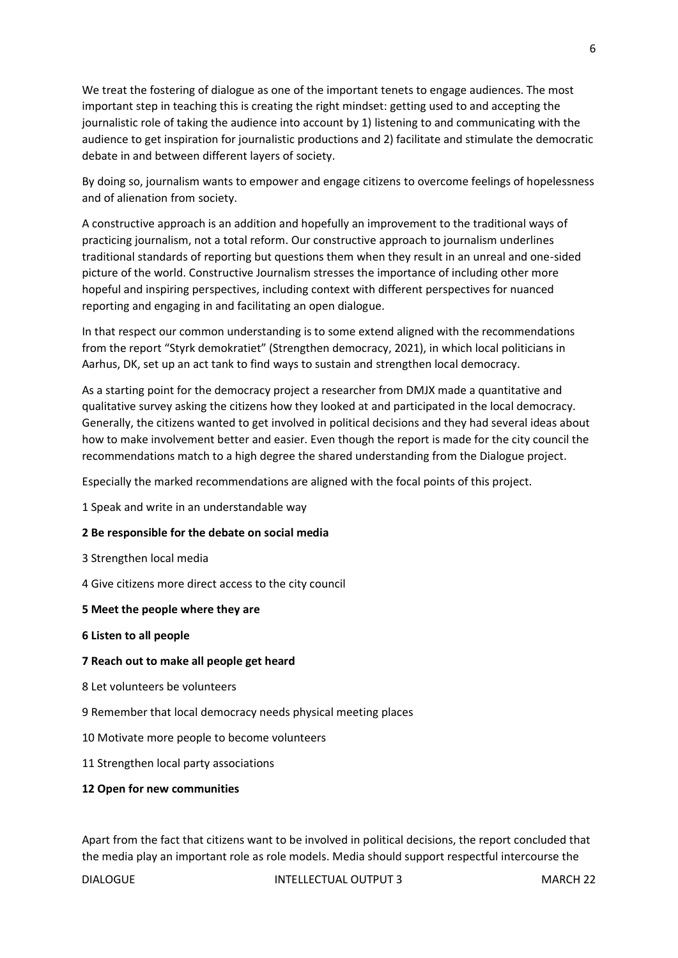We treat the fostering of dialogue as one of the important tenets to engage audiences. The most important step in teaching this is creating the right mindset: getting used to and accepting the journalistic role of taking the audience into account by 1) listening to and communicating with the audience to get inspiration for journalistic productions and 2) facilitate and stimulate the democratic debate in and between different layers of society.

By doing so, journalism wants to empower and engage citizens to overcome feelings of hopelessness and of alienation from society.

A constructive approach is an addition and hopefully an improvement to the traditional ways of practicing journalism, not a total reform. Our constructive approach to journalism underlines traditional standards of reporting but questions them when they result in an unreal and one-sided picture of the world. Constructive Journalism stresses the importance of including other more hopeful and inspiring perspectives, including context with different perspectives for nuanced reporting and engaging in and facilitating an open dialogue.

In that respect our common understanding is to some extend aligned with the recommendations from the report "Styrk demokratiet" (Strengthen democracy, 2021), in which local politicians in Aarhus, DK, set up an act tank to find ways to sustain and strengthen local democracy.

As a starting point for the democracy project a researcher from DMJX made a quantitative and qualitative survey asking the citizens how they looked at and participated in the local democracy. Generally, the citizens wanted to get involved in political decisions and they had several ideas about how to make involvement better and easier. Even though the report is made for the city council the recommendations match to a high degree the shared understanding from the Dialogue project.

Especially the marked recommendations are aligned with the focal points of this project.

1 Speak and write in an understandable way

#### **2 Be responsible for the debate on social media**

3 Strengthen local media

4 Give citizens more direct access to the city council

#### **5 Meet the people where they are**

#### **6 Listen to all people**

#### **7 Reach out to make all people get heard**

- 8 Let volunteers be volunteers
- 9 Remember that local democracy needs physical meeting places
- 10 Motivate more people to become volunteers
- 11 Strengthen local party associations

#### **12 Open for new communities**

Apart from the fact that citizens want to be involved in political decisions, the report concluded that the media play an important role as role models. Media should support respectful intercourse the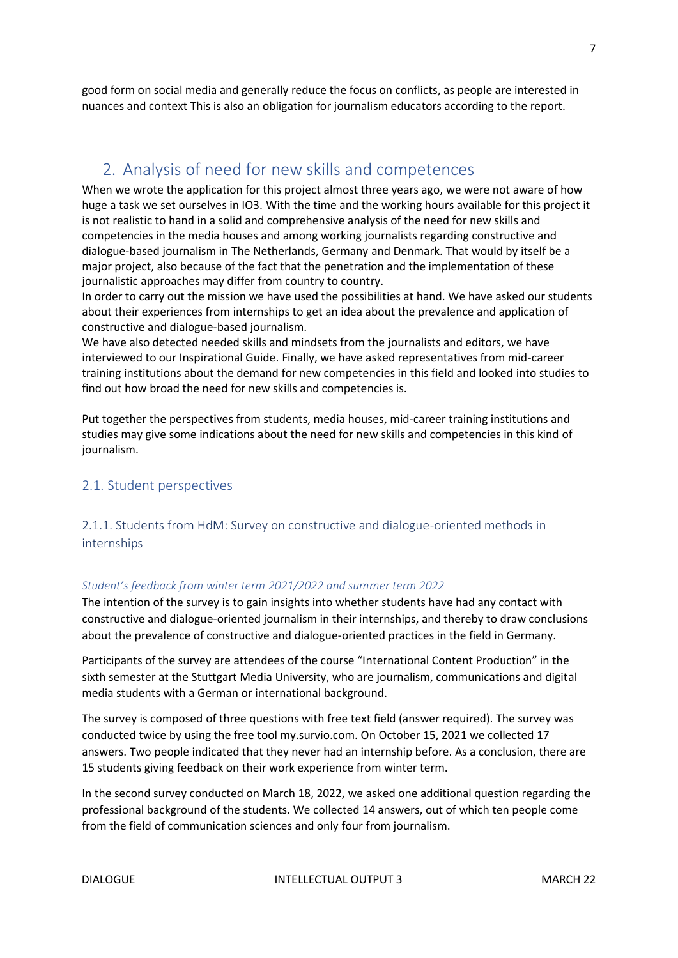good form on social media and generally reduce the focus on conflicts, as people are interested in nuances and context This is also an obligation for journalism educators according to the report.

# <span id="page-6-0"></span>2. Analysis of need for new skills and competences

When we wrote the application for this project almost three years ago, we were not aware of how huge a task we set ourselves in IO3. With the time and the working hours available for this project it is not realistic to hand in a solid and comprehensive analysis of the need for new skills and competencies in the media houses and among working journalists regarding constructive and dialogue-based journalism in The Netherlands, Germany and Denmark. That would by itself be a major project, also because of the fact that the penetration and the implementation of these journalistic approaches may differ from country to country.

In order to carry out the mission we have used the possibilities at hand. We have asked our students about their experiences from internships to get an idea about the prevalence and application of constructive and dialogue-based journalism.

We have also detected needed skills and mindsets from the journalists and editors, we have interviewed to our Inspirational Guide. Finally, we have asked representatives from mid-career training institutions about the demand for new competencies in this field and looked into studies to find out how broad the need for new skills and competencies is.

Put together the perspectives from students, media houses, mid-career training institutions and studies may give some indications about the need for new skills and competencies in this kind of journalism.

#### <span id="page-6-1"></span>2.1. Student perspectives

<span id="page-6-2"></span>2.1.1. Students from HdM: Survey on constructive and dialogue-oriented methods in internships

#### <span id="page-6-3"></span>*Student's feedback from winter term 2021/2022 and summer term 2022*

The intention of the survey is to gain insights into whether students have had any contact with constructive and dialogue-oriented journalism in their internships, and thereby to draw conclusions about the prevalence of constructive and dialogue-oriented practices in the field in Germany.

Participants of the survey are attendees of the course "International Content Production" in the sixth semester at the Stuttgart Media University, who are journalism, communications and digital media students with a German or international background.

The survey is composed of three questions with free text field (answer required). The survey was conducted twice by using the free tool my.survio.com. On October 15, 2021 we collected 17 answers. Two people indicated that they never had an internship before. As a conclusion, there are 15 students giving feedback on their work experience from winter term.

In the second survey conducted on March 18, 2022, we asked one additional question regarding the professional background of the students. We collected 14 answers, out of which ten people come from the field of communication sciences and only four from journalism.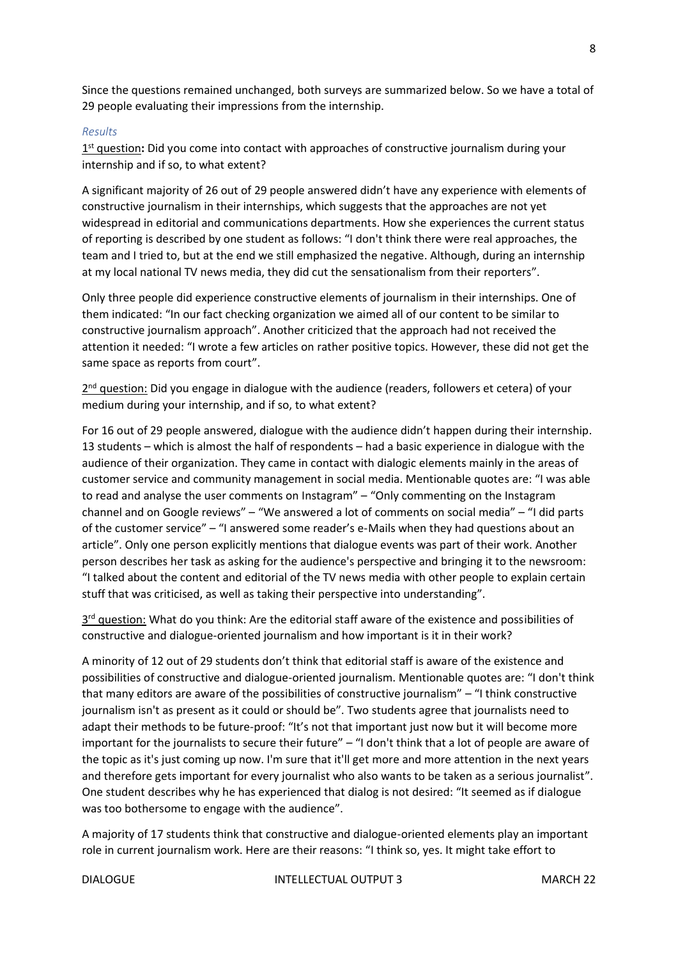Since the questions remained unchanged, both surveys are summarized below. So we have a total of 29 people evaluating their impressions from the internship.

#### <span id="page-7-0"></span>*Results*

1<sup>st</sup> question: Did you come into contact with approaches of constructive journalism during your internship and if so, to what extent?

A significant majority of 26 out of 29 people answered didn't have any experience with elements of constructive journalism in their internships, which suggests that the approaches are not yet widespread in editorial and communications departments. How she experiences the current status of reporting is described by one student as follows: "I don't think there were real approaches, the team and I tried to, but at the end we still emphasized the negative. Although, during an internship at my local national TV news media, they did cut the sensationalism from their reporters".

Only three people did experience constructive elements of journalism in their internships. One of them indicated: "In our fact checking organization we aimed all of our content to be similar to constructive journalism approach". Another criticized that the approach had not received the attention it needed: "I wrote a few articles on rather positive topics. However, these did not get the same space as reports from court".

2<sup>nd</sup> question: Did you engage in dialogue with the audience (readers, followers et cetera) of your medium during your internship, and if so, to what extent?

For 16 out of 29 people answered, dialogue with the audience didn't happen during their internship. 13 students – which is almost the half of respondents – had a basic experience in dialogue with the audience of their organization. They came in contact with dialogic elements mainly in the areas of customer service and community management in social media. Mentionable quotes are: "I was able to read and analyse the user comments on Instagram" – "Only commenting on the Instagram channel and on Google reviews" – "We answered a lot of comments on social media" – "I did parts of the customer service" – "I answered some reader's e-Mails when they had questions about an article". Only one person explicitly mentions that dialogue events was part of their work. Another person describes her task as asking for the audience's perspective and bringing it to the newsroom: "I talked about the content and editorial of the TV news media with other people to explain certain stuff that was criticised, as well as taking their perspective into understanding".

3<sup>rd</sup> question: What do you think: Are the editorial staff aware of the existence and possibilities of constructive and dialogue-oriented journalism and how important is it in their work?

A minority of 12 out of 29 students don't think that editorial staff is aware of the existence and possibilities of constructive and dialogue-oriented journalism. Mentionable quotes are: "I don't think that many editors are aware of the possibilities of constructive journalism" – "I think constructive journalism isn't as present as it could or should be". Two students agree that journalists need to adapt their methods to be future-proof: "It's not that important just now but it will become more important for the journalists to secure their future" – "I don't think that a lot of people are aware of the topic as it's just coming up now. I'm sure that it'll get more and more attention in the next years and therefore gets important for every journalist who also wants to be taken as a serious journalist". One student describes why he has experienced that dialog is not desired: "It seemed as if dialogue was too bothersome to engage with the audience".

A majority of 17 students think that constructive and dialogue-oriented elements play an important role in current journalism work. Here are their reasons: "I think so, yes. It might take effort to

DIALOGUE **INTELLECTUAL OUTPUT 3** MARCH 22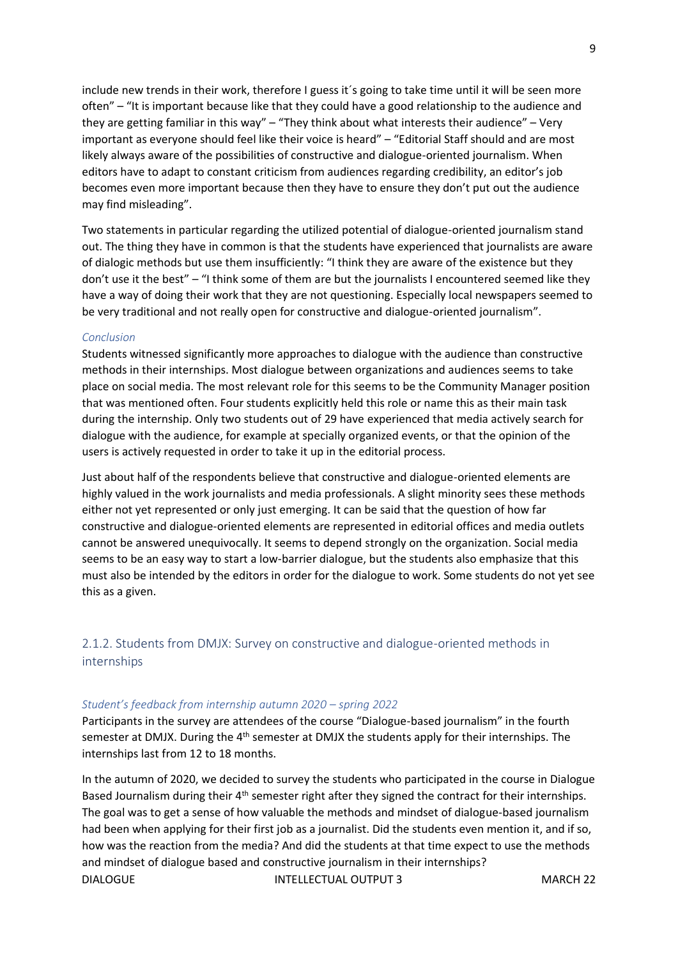include new trends in their work, therefore I guess it´s going to take time until it will be seen more often" – "It is important because like that they could have a good relationship to the audience and they are getting familiar in this way" – "They think about what interests their audience" – Very important as everyone should feel like their voice is heard" – "Editorial Staff should and are most likely always aware of the possibilities of constructive and dialogue-oriented journalism. When editors have to adapt to constant criticism from audiences regarding credibility, an editor's job becomes even more important because then they have to ensure they don't put out the audience may find misleading".

Two statements in particular regarding the utilized potential of dialogue-oriented journalism stand out. The thing they have in common is that the students have experienced that journalists are aware of dialogic methods but use them insufficiently: "I think they are aware of the existence but they don't use it the best" – "I think some of them are but the journalists I encountered seemed like they have a way of doing their work that they are not questioning. Especially local newspapers seemed to be very traditional and not really open for constructive and dialogue-oriented journalism".

#### <span id="page-8-0"></span>*Conclusion*

Students witnessed significantly more approaches to dialogue with the audience than constructive methods in their internships. Most dialogue between organizations and audiences seems to take place on social media. The most relevant role for this seems to be the Community Manager position that was mentioned often. Four students explicitly held this role or name this as their main task during the internship. Only two students out of 29 have experienced that media actively search for dialogue with the audience, for example at specially organized events, or that the opinion of the users is actively requested in order to take it up in the editorial process.

Just about half of the respondents believe that constructive and dialogue-oriented elements are highly valued in the work journalists and media professionals. A slight minority sees these methods either not yet represented or only just emerging. It can be said that the question of how far constructive and dialogue-oriented elements are represented in editorial offices and media outlets cannot be answered unequivocally. It seems to depend strongly on the organization. Social media seems to be an easy way to start a low-barrier dialogue, but the students also emphasize that this must also be intended by the editors in order for the dialogue to work. Some students do not yet see this as a given.

<span id="page-8-1"></span>2.1.2. Students from DMJX: Survey on constructive and dialogue-oriented methods in internships

#### <span id="page-8-2"></span>*Student's feedback from internship autumn 2020 – spring 2022*

Participants in the survey are attendees of the course "Dialogue-based journalism" in the fourth semester at DMJX. During the 4<sup>th</sup> semester at DMJX the students apply for their internships. The internships last from 12 to 18 months.

DIALOGUE **INTELLECTUAL OUTPUT 3** MARCH 22 In the autumn of 2020, we decided to survey the students who participated in the course in Dialogue Based Journalism during their  $4<sup>th</sup>$  semester right after they signed the contract for their internships. The goal was to get a sense of how valuable the methods and mindset of dialogue-based journalism had been when applying for their first job as a journalist. Did the students even mention it, and if so, how was the reaction from the media? And did the students at that time expect to use the methods and mindset of dialogue based and constructive journalism in their internships?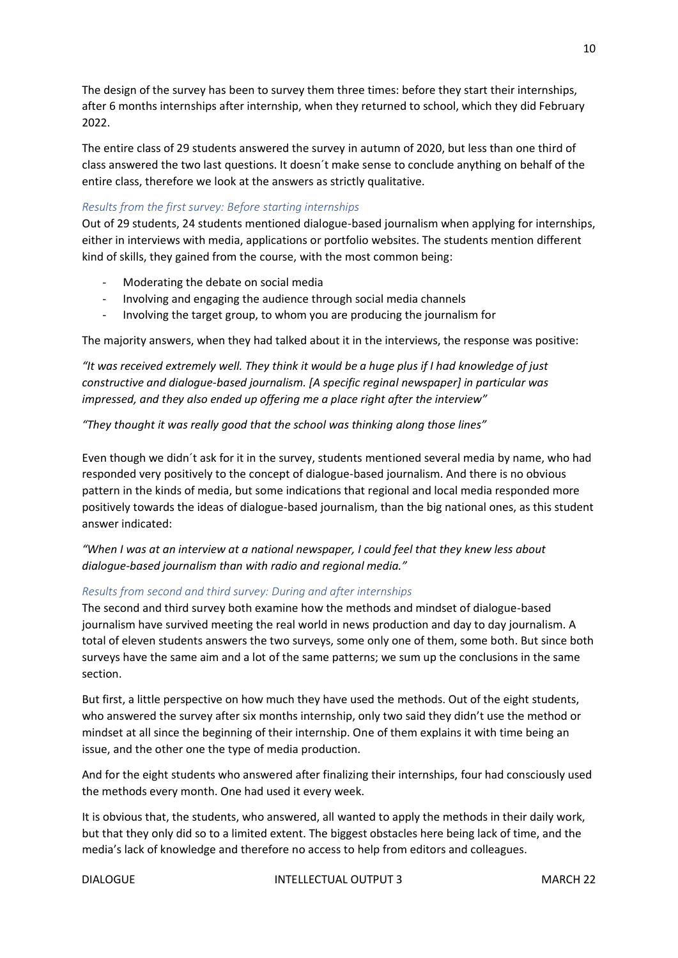The design of the survey has been to survey them three times: before they start their internships, after 6 months internships after internship, when they returned to school, which they did February 2022.

The entire class of 29 students answered the survey in autumn of 2020, but less than one third of class answered the two last questions. It doesn´t make sense to conclude anything on behalf of the entire class, therefore we look at the answers as strictly qualitative.

#### <span id="page-9-0"></span>*Results from the first survey: Before starting internships*

Out of 29 students, 24 students mentioned dialogue-based journalism when applying for internships, either in interviews with media, applications or portfolio websites. The students mention different kind of skills, they gained from the course, with the most common being:

- Moderating the debate on social media
- Involving and engaging the audience through social media channels
- Involving the target group, to whom you are producing the journalism for

The majority answers, when they had talked about it in the interviews, the response was positive:

*"It was received extremely well. They think it would be a huge plus if I had knowledge of just constructive and dialogue-based journalism. [A specific reginal newspaper] in particular was impressed, and they also ended up offering me a place right after the interview"*

*"They thought it was really good that the school was thinking along those lines"*

Even though we didn´t ask for it in the survey, students mentioned several media by name, who had responded very positively to the concept of dialogue-based journalism. And there is no obvious pattern in the kinds of media, but some indications that regional and local media responded more positively towards the ideas of dialogue-based journalism, than the big national ones, as this student answer indicated:

*"When I was at an interview at a national newspaper, I could feel that they knew less about dialogue-based journalism than with radio and regional media."*

#### <span id="page-9-1"></span>*Results from second and third survey: During and after internships*

The second and third survey both examine how the methods and mindset of dialogue-based journalism have survived meeting the real world in news production and day to day journalism. A total of eleven students answers the two surveys, some only one of them, some both. But since both surveys have the same aim and a lot of the same patterns; we sum up the conclusions in the same section.

But first, a little perspective on how much they have used the methods. Out of the eight students, who answered the survey after six months internship, only two said they didn't use the method or mindset at all since the beginning of their internship. One of them explains it with time being an issue, and the other one the type of media production.

And for the eight students who answered after finalizing their internships, four had consciously used the methods every month. One had used it every week.

It is obvious that, the students, who answered, all wanted to apply the methods in their daily work, but that they only did so to a limited extent. The biggest obstacles here being lack of time, and the media's lack of knowledge and therefore no access to help from editors and colleagues.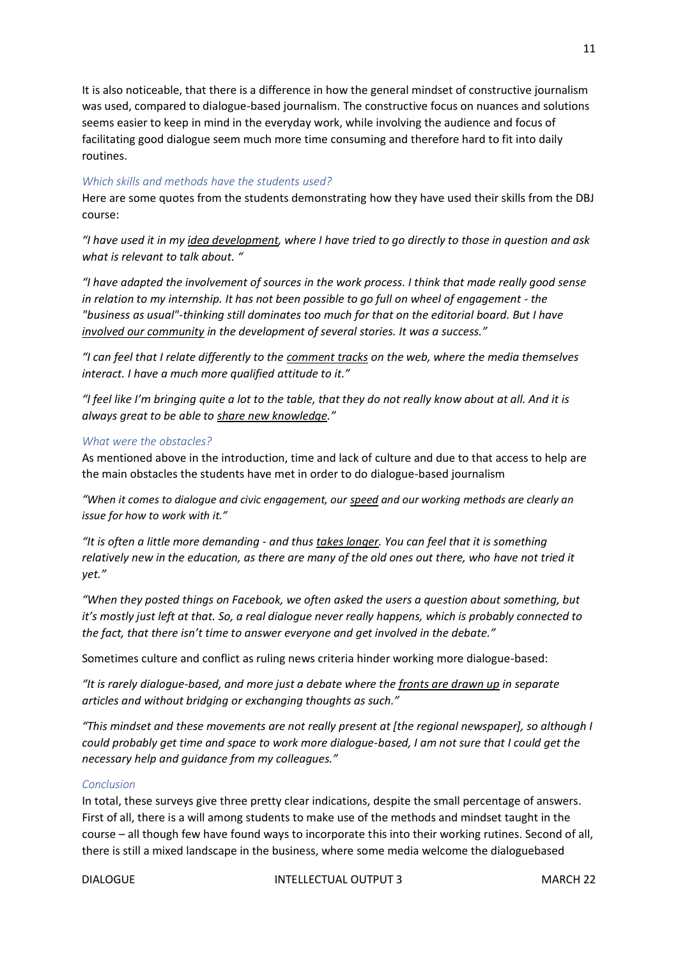It is also noticeable, that there is a difference in how the general mindset of constructive journalism was used, compared to dialogue-based journalism. The constructive focus on nuances and solutions seems easier to keep in mind in the everyday work, while involving the audience and focus of facilitating good dialogue seem much more time consuming and therefore hard to fit into daily routines.

#### <span id="page-10-0"></span>*Which skills and methods have the students used?*

Here are some quotes from the students demonstrating how they have used their skills from the DBJ course:

*"I have used it in my idea development, where I have tried to go directly to those in question and ask what is relevant to talk about. "*

*"I have adapted the involvement of sources in the work process. I think that made really good sense in relation to my internship. It has not been possible to go full on wheel of engagement - the "business as usual"-thinking still dominates too much for that on the editorial board. But I have involved our community in the development of several stories. It was a success."*

*"I can feel that I relate differently to the comment tracks on the web, where the media themselves interact. I have a much more qualified attitude to it."*

*"I feel like I'm bringing quite a lot to the table, that they do not really know about at all. And it is always great to be able to share new knowledge."*

#### <span id="page-10-1"></span>*What were the obstacles?*

As mentioned above in the introduction, time and lack of culture and due to that access to help are the main obstacles the students have met in order to do dialogue-based journalism

*"When it comes to dialogue and civic engagement, our speed and our working methods are clearly an issue for how to work with it."*

*"It is often a little more demanding - and thus takes longer. You can feel that it is something relatively new in the education, as there are many of the old ones out there, who have not tried it yet."*

*"When they posted things on Facebook, we often asked the users a question about something, but it's mostly just left at that. So, a real dialogue never really happens, which is probably connected to the fact, that there isn't time to answer everyone and get involved in the debate."*

Sometimes culture and conflict as ruling news criteria hinder working more dialogue-based:

*"It is rarely dialogue-based, and more just a debate where the fronts are drawn up in separate articles and without bridging or exchanging thoughts as such."*

*"This mindset and these movements are not really present at [the regional newspaper], so although I could probably get time and space to work more dialogue-based, I am not sure that I could get the necessary help and guidance from my colleagues."*

#### *Conclusion*

In total, these surveys give three pretty clear indications, despite the small percentage of answers. First of all, there is a will among students to make use of the methods and mindset taught in the course – all though few have found ways to incorporate this into their working rutines. Second of all, there is still a mixed landscape in the business, where some media welcome the dialoguebased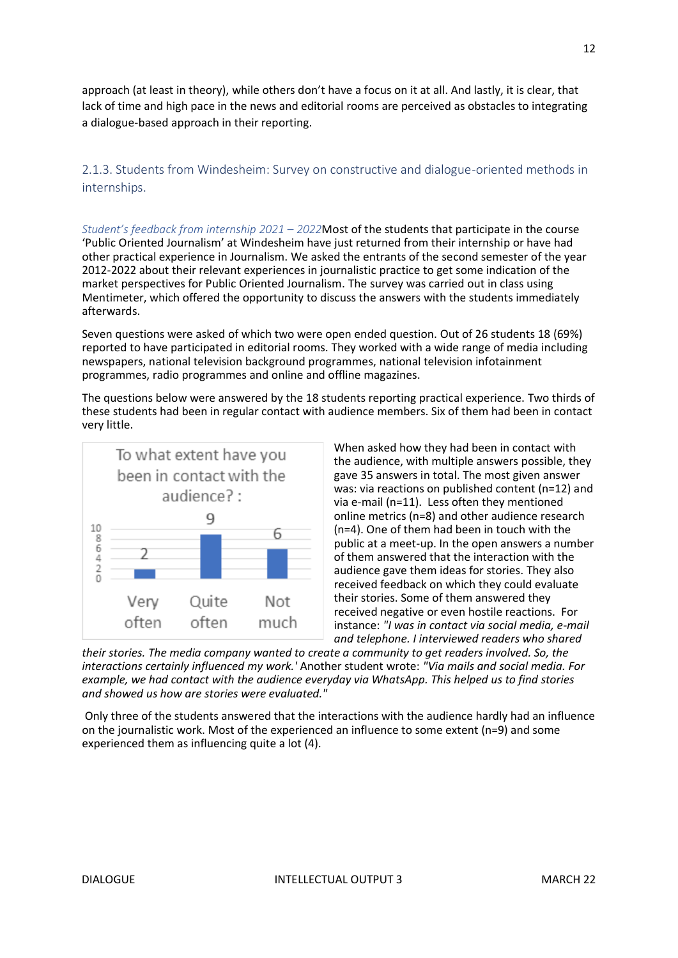approach (at least in theory), while others don't have a focus on it at all. And lastly, it is clear, that lack of time and high pace in the news and editorial rooms are perceived as obstacles to integrating a dialogue-based approach in their reporting.

<span id="page-11-0"></span>2.1.3. Students from Windesheim: Survey on constructive and dialogue-oriented methods in internships.

<span id="page-11-1"></span>*Student's feedback from internship 2021 – 2022*Most of the students that participate in the course 'Public Oriented Journalism' at Windesheim have just returned from their internship or have had other practical experience in Journalism. We asked the entrants of the second semester of the year 2012-2022 about their relevant experiences in journalistic practice to get some indication of the market perspectives for Public Oriented Journalism. The survey was carried out in class using Mentimeter, which offered the opportunity to discuss the answers with the students immediately afterwards.

Seven questions were asked of which two were open ended question. Out of 26 students 18 (69%) reported to have participated in editorial rooms. They worked with a wide range of media including newspapers, national television background programmes, national television infotainment programmes, radio programmes and online and offline magazines.

The questions below were answered by the 18 students reporting practical experience. Two thirds of these students had been in regular contact with audience members. Six of them had been in contact very little.



When asked how they had been in contact with the audience, with multiple answers possible, they gave 35 answers in total. The most given answer was: via reactions on published content (n=12) and via e-mail (n=11). Less often they mentioned online metrics (n=8) and other audience research (n=4). One of them had been in touch with the public at a meet-up. In the open answers a number of them answered that the interaction with the audience gave them ideas for stories. They also received feedback on which they could evaluate their stories. Some of them answered they received negative or even hostile reactions. For instance: *"I was in contact via social media, e-mail and telephone. I interviewed readers who shared* 

*their stories. The media company wanted to create a community to get readers involved. So, the interactions certainly influenced my work.'* Another student wrote: *"Via mails and social media. For example, we had contact with the audience everyday via WhatsApp. This helped us to find stories and showed us how are stories were evaluated."*

Only three of the students answered that the interactions with the audience hardly had an influence on the journalistic work. Most of the experienced an influence to some extent (n=9) and some experienced them as influencing quite a lot (4).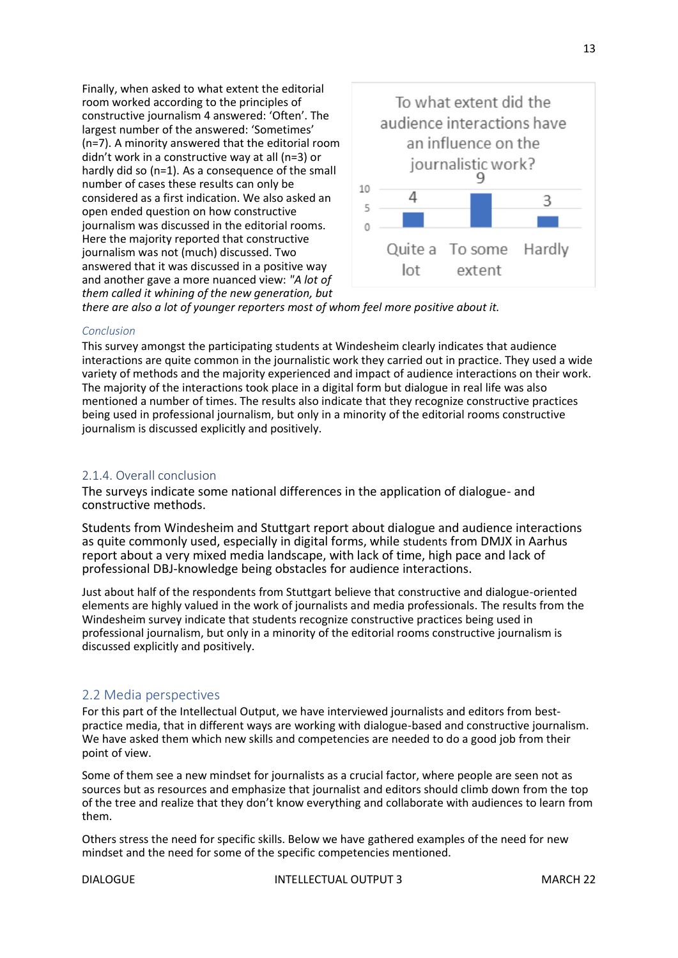Finally, when asked to what extent the editorial room worked according to the principles of constructive journalism 4 answered: 'Often'. The largest number of the answered: 'Sometimes' (n=7). A minority answered that the editorial room didn't work in a constructive way at all (n=3) or hardly did so (n=1). As a consequence of the small number of cases these results can only be considered as a first indication. We also asked an open ended question on how constructive journalism was discussed in the editorial rooms. Here the majority reported that constructive journalism was not (much) discussed. Two answered that it was discussed in a positive way and another gave a more nuanced view: *"A lot of them called it whining of the new generation, but* 



*there are also a lot of younger reporters most of whom feel more positive about it.*

#### *Conclusion*

This survey amongst the participating students at Windesheim clearly indicates that audience interactions are quite common in the journalistic work they carried out in practice. They used a wide variety of methods and the majority experienced and impact of audience interactions on their work. The majority of the interactions took place in a digital form but dialogue in real life was also mentioned a number of times. The results also indicate that they recognize constructive practices being used in professional journalism, but only in a minority of the editorial rooms constructive journalism is discussed explicitly and positively.

#### 2.1.4. Overall conclusion

The surveys indicate some national differences in the application of dialogue- and constructive methods.

Students from Windesheim and Stuttgart report about dialogue and audience interactions as quite commonly used, especially in digital forms, while students from DMJX in Aarhus report about a very mixed media landscape, with lack of time, high pace and lack of professional DBJ-knowledge being obstacles for audience interactions.

Just about half of the respondents from Stuttgart believe that constructive and dialogue-oriented elements are highly valued in the work of journalists and media professionals. The results from the Windesheim survey indicate that students recognize constructive practices being used in professional journalism, but only in a minority of the editorial rooms constructive journalism is discussed explicitly and positively.

#### <span id="page-12-0"></span>2.2 Media perspectives

For this part of the Intellectual Output, we have interviewed journalists and editors from bestpractice media, that in different ways are working with dialogue-based and constructive journalism. We have asked them which new skills and competencies are needed to do a good job from their point of view.

Some of them see a new mindset for journalists as a crucial factor, where people are seen not as sources but as resources and emphasize that journalist and editors should climb down from the top of the tree and realize that they don't know everything and collaborate with audiences to learn from them.

Others stress the need for specific skills. Below we have gathered examples of the need for new mindset and the need for some of the specific competencies mentioned.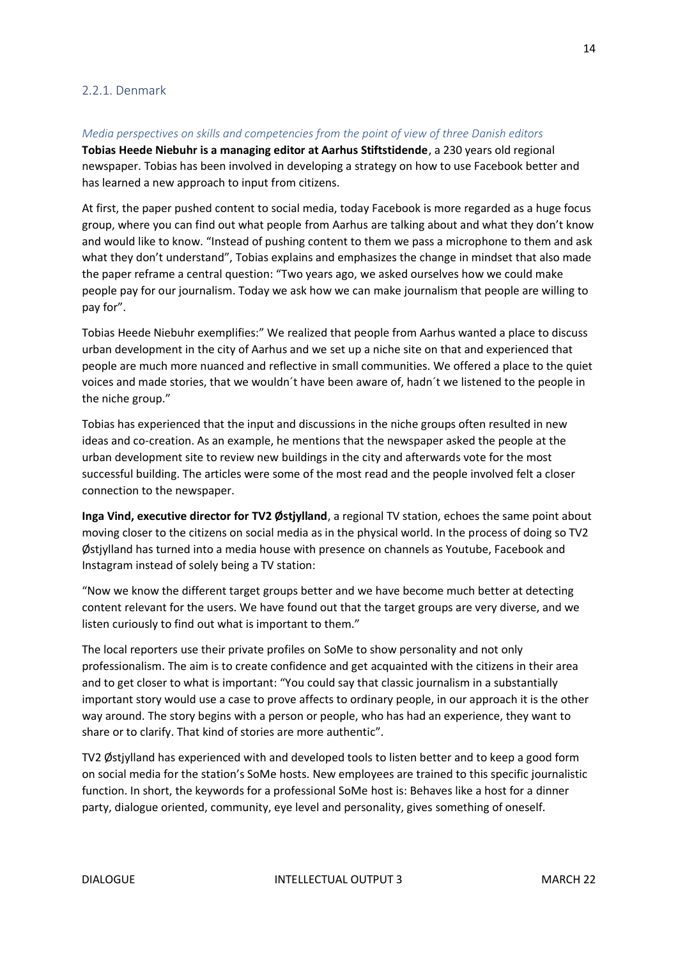#### <span id="page-13-0"></span>2.2.1. Denmark

#### <span id="page-13-1"></span>*Media perspectives on skills and competencies from the point of view of three Danish editors*

**Tobias Heede Niebuhr is a managing editor at Aarhus Stiftstidende**, a 230 years old regional newspaper. Tobias has been involved in developing a strategy on how to use Facebook better and has learned a new approach to input from citizens.

At first, the paper pushed content to social media, today Facebook is more regarded as a huge focus group, where you can find out what people from Aarhus are talking about and what they don't know and would like to know. "Instead of pushing content to them we pass a microphone to them and ask what they don't understand", Tobias explains and emphasizes the change in mindset that also made the paper reframe a central question: "Two years ago, we asked ourselves how we could make people pay for our journalism. Today we ask how we can make journalism that people are willing to pay for".

Tobias Heede Niebuhr exemplifies:" We realized that people from Aarhus wanted a place to discuss urban development in the city of Aarhus and we set up a niche site on that and experienced that people are much more nuanced and reflective in small communities. We offered a place to the quiet voices and made stories, that we wouldn´t have been aware of, hadn´t we listened to the people in the niche group."

Tobias has experienced that the input and discussions in the niche groups often resulted in new ideas and co-creation. As an example, he mentions that the newspaper asked the people at the urban development site to review new buildings in the city and afterwards vote for the most successful building. The articles were some of the most read and the people involved felt a closer connection to the newspaper.

**Inga Vind, executive director for TV2 Østjylland**, a regional TV station, echoes the same point about moving closer to the citizens on social media as in the physical world. In the process of doing so TV2 Østjylland has turned into a media house with presence on channels as Youtube, Facebook and Instagram instead of solely being a TV station:

"Now we know the different target groups better and we have become much better at detecting content relevant for the users. We have found out that the target groups are very diverse, and we listen curiously to find out what is important to them."

The local reporters use their private profiles on SoMe to show personality and not only professionalism. The aim is to create confidence and get acquainted with the citizens in their area and to get closer to what is important: "You could say that classic journalism in a substantially important story would use a case to prove affects to ordinary people, in our approach it is the other way around. The story begins with a person or people, who has had an experience, they want to share or to clarify. That kind of stories are more authentic".

TV2 Østjylland has experienced with and developed tools to listen better and to keep a good form on social media for the station's SoMe hosts. New employees are trained to this specific journalistic function. In short, the keywords for a professional SoMe host is: Behaves like a host for a dinner party, dialogue oriented, community, eye level and personality, gives something of oneself.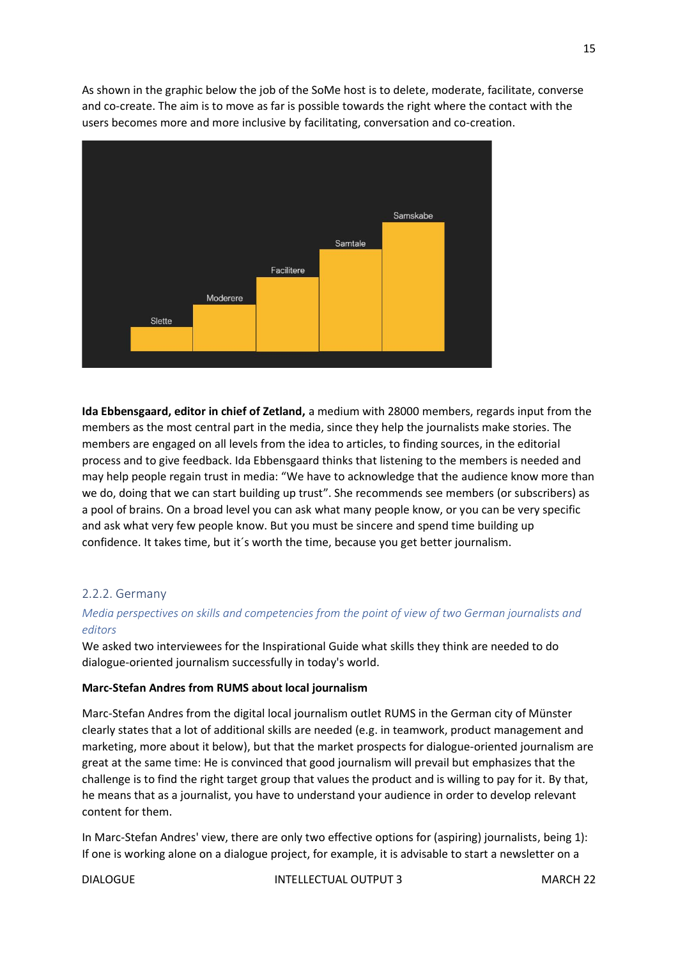As shown in the graphic below the job of the SoMe host is to delete, moderate, facilitate, converse and co-create. The aim is to move as far is possible towards the right where the contact with the users becomes more and more inclusive by facilitating, conversation and co-creation.



**Ida Ebbensgaard, editor in chief of Zetland,** a medium with 28000 members, regards input from the members as the most central part in the media, since they help the journalists make stories. The members are engaged on all levels from the idea to articles, to finding sources, in the editorial process and to give feedback. Ida Ebbensgaard thinks that listening to the members is needed and may help people regain trust in media: "We have to acknowledge that the audience know more than we do, doing that we can start building up trust". She recommends see members (or subscribers) as a pool of brains. On a broad level you can ask what many people know, or you can be very specific and ask what very few people know. But you must be sincere and spend time building up confidence. It takes time, but it´s worth the time, because you get better journalism.

#### <span id="page-14-0"></span>2.2.2. Germany

#### <span id="page-14-1"></span>*Media perspectives on skills and competencies from the point of view of two German journalists and editors*

We asked two interviewees for the Inspirational Guide what skills they think are needed to do dialogue-oriented journalism successfully in today's world.

#### **Marc-Stefan Andres from RUMS about local journalism**

Marc-Stefan Andres from the digital local journalism outlet RUMS in the German city of Münster clearly states that a lot of additional skills are needed (e.g. in teamwork, product management and marketing, more about it below), but that the market prospects for dialogue-oriented journalism are great at the same time: He is convinced that good journalism will prevail but emphasizes that the challenge is to find the right target group that values the product and is willing to pay for it. By that, he means that as a journalist, you have to understand your audience in order to develop relevant content for them.

In Marc-Stefan Andres' view, there are only two effective options for (aspiring) journalists, being 1): If one is working alone on a dialogue project, for example, it is advisable to start a newsletter on a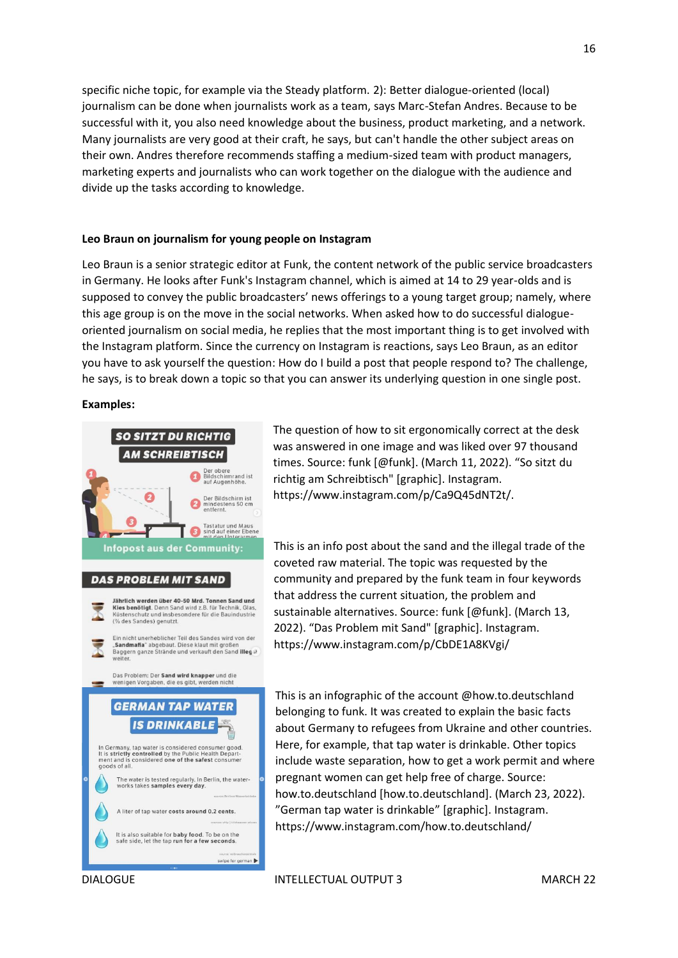specific niche topic, for example via the Steady platform. 2): Better dialogue-oriented (local) journalism can be done when journalists work as a team, says Marc-Stefan Andres. Because to be successful with it, you also need knowledge about the business, product marketing, and a network. Many journalists are very good at their craft, he says, but can't handle the other subject areas on their own. Andres therefore recommends staffing a medium-sized team with product managers, marketing experts and journalists who can work together on the dialogue with the audience and divide up the tasks according to knowledge.

#### **Leo Braun on journalism for young people on Instagram**

Leo Braun is a senior strategic editor at Funk, the content network of the public service broadcasters in Germany. He looks after Funk's Instagram channel, which is aimed at 14 to 29 year-olds and is supposed to convey the public broadcasters' news offerings to a young target group; namely, where this age group is on the move in the social networks. When asked how to do successful dialogueoriented journalism on social media, he replies that the most important thing is to get involved with the Instagram platform. Since the currency on Instagram is reactions, says Leo Braun, as an editor you have to ask yourself the question: How do I build a post that people respond to? The challenge, he says, is to break down a topic so that you can answer its underlying question in one single post.

#### **Examples:**



The question of how to sit ergonomically correct at the desk was answered in one image and was liked over 97 thousand times. Source: funk [@funk]. (March 11, 2022). "So sitzt du richtig am Schreibtisch" [graphic]. Instagram. https://www.instagram.com/p/Ca9Q45dNT2t/.

This is an info post about the sand and the illegal trade of the coveted raw material. The topic was requested by the community and prepared by the funk team in four keywords that address the current situation, the problem and sustainable alternatives. Source: funk [@funk]. (March 13, 2022). "Das Problem mit Sand" [graphic]. Instagram. https://www.instagram.com/p/CbDE1A8KVgi/

This is an infographic of the account @how.to.deutschland belonging to funk. It was created to explain the basic facts about Germany to refugees from Ukraine and other countries. Here, for example, that tap water is drinkable. Other topics include waste separation, how to get a work permit and where pregnant women can get help free of charge. Source: how.to.deutschland [how.to.deutschland]. (March 23, 2022). "German tap water is drinkable" [graphic]. Instagram. https://www.instagram.com/how.to.deutschland/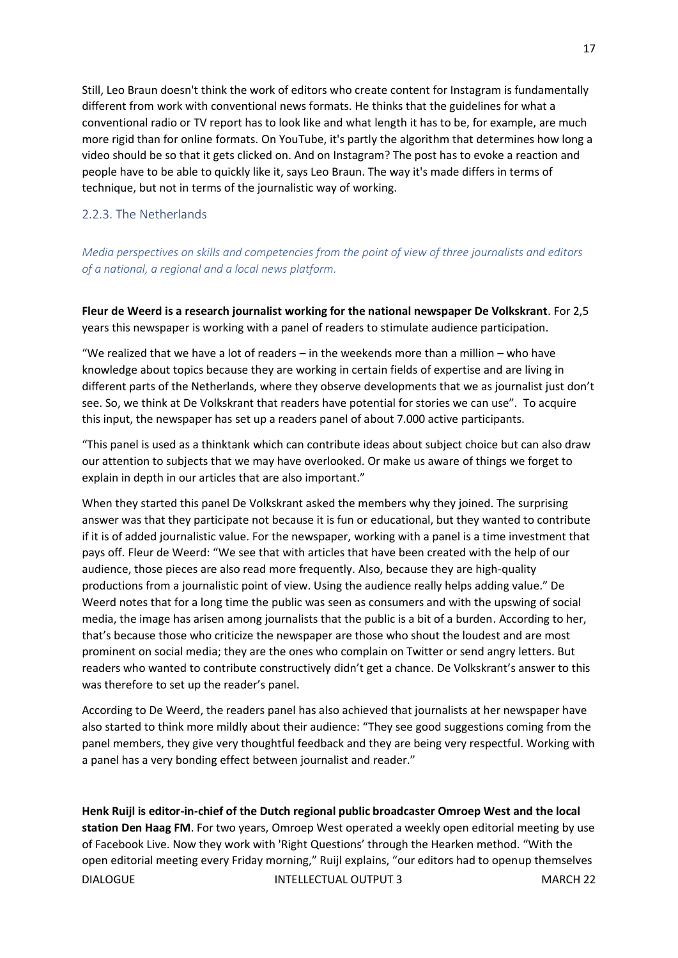Still, Leo Braun doesn't think the work of editors who create content for Instagram is fundamentally different from work with conventional news formats. He thinks that the guidelines for what a conventional radio or TV report has to look like and what length it has to be, for example, are much more rigid than for online formats. On YouTube, it's partly the algorithm that determines how long a video should be so that it gets clicked on. And on Instagram? The post has to evoke a reaction and people have to be able to quickly like it, says Leo Braun. The way it's made differs in terms of technique, but not in terms of the journalistic way of working.

#### <span id="page-16-0"></span>2.2.3. The Netherlands

<span id="page-16-1"></span>*Media perspectives on skills and competencies from the point of view of three journalists and editors of a national, a regional and a local news platform.*

**Fleur de Weerd is a research journalist working for the national newspaper De Volkskrant**. For 2,5 years this newspaper is working with a panel of readers to stimulate audience participation.

"We realized that we have a lot of readers – in the weekends more than a million – who have knowledge about topics because they are working in certain fields of expertise and are living in different parts of the Netherlands, where they observe developments that we as journalist just don't see. So, we think at De Volkskrant that readers have potential for stories we can use". To acquire this input, the newspaper has set up a readers panel of about 7.000 active participants.

"This panel is used as a thinktank which can contribute ideas about subject choice but can also draw our attention to subjects that we may have overlooked. Or make us aware of things we forget to explain in depth in our articles that are also important."

When they started this panel De Volkskrant asked the members why they joined. The surprising answer was that they participate not because it is fun or educational, but they wanted to contribute if it is of added journalistic value. For the newspaper, working with a panel is a time investment that pays off. Fleur de Weerd: "We see that with articles that have been created with the help of our audience, those pieces are also read more frequently. Also, because they are high-quality productions from a journalistic point of view. Using the audience really helps adding value." De Weerd notes that for a long time the public was seen as consumers and with the upswing of social media, the image has arisen among journalists that the public is a bit of a burden. According to her, that's because those who criticize the newspaper are those who shout the loudest and are most prominent on social media; they are the ones who complain on Twitter or send angry letters. But readers who wanted to contribute constructively didn't get a chance. De Volkskrant's answer to this was therefore to set up the reader's panel.

According to De Weerd, the readers panel has also achieved that journalists at her newspaper have also started to think more mildly about their audience: "They see good suggestions coming from the panel members, they give very thoughtful feedback and they are being very respectful. Working with a panel has a very bonding effect between journalist and reader."

DIALOGUE INTELLECTUAL OUTPUT 3 MARCH 22 **Henk Ruijl is editor-in-chief of the Dutch regional public broadcaster Omroep West and the local station Den Haag FM**. For two years, Omroep West operated a weekly open editorial meeting by use of Facebook Live. Now they work with 'Right Questions' through the Hearken method. "With the open editorial meeting every Friday morning," Ruijl explains, "our editors had to openup themselves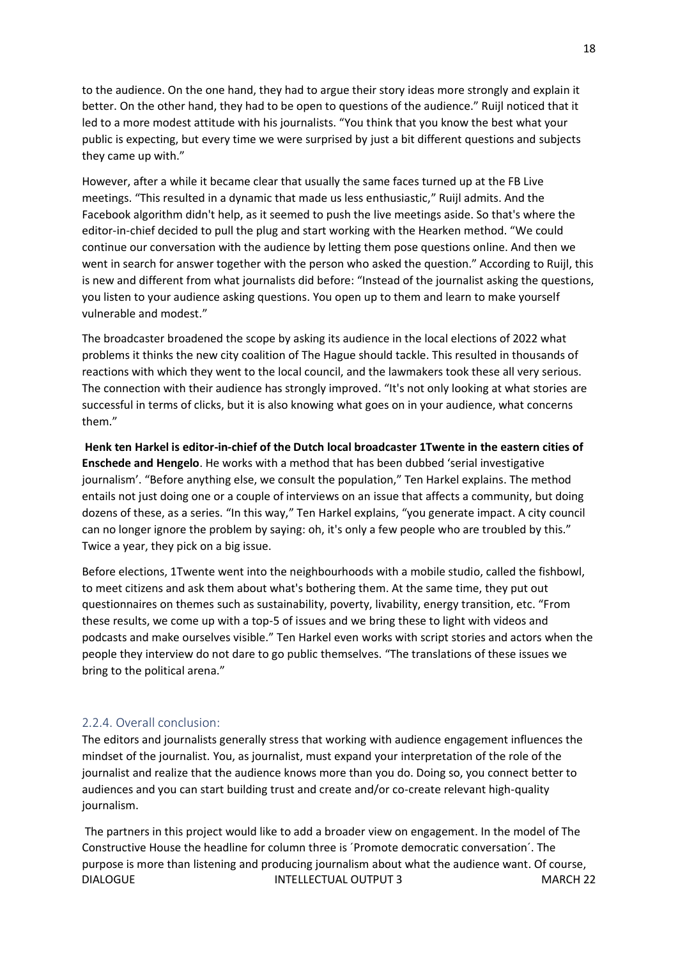to the audience. On the one hand, they had to argue their story ideas more strongly and explain it better. On the other hand, they had to be open to questions of the audience." Ruijl noticed that it led to a more modest attitude with his journalists. "You think that you know the best what your public is expecting, but every time we were surprised by just a bit different questions and subjects they came up with."

However, after a while it became clear that usually the same faces turned up at the FB Live meetings. "This resulted in a dynamic that made us less enthusiastic," Ruijl admits. And the Facebook algorithm didn't help, as it seemed to push the live meetings aside. So that's where the editor-in-chief decided to pull the plug and start working with the Hearken method. "We could continue our conversation with the audience by letting them pose questions online. And then we went in search for answer together with the person who asked the question." According to Ruijl, this is new and different from what journalists did before: "Instead of the journalist asking the questions, you listen to your audience asking questions. You open up to them and learn to make yourself vulnerable and modest."

The broadcaster broadened the scope by asking its audience in the local elections of 2022 what problems it thinks the new city coalition of The Hague should tackle. This resulted in thousands of reactions with which they went to the local council, and the lawmakers took these all very serious. The connection with their audience has strongly improved. "It's not only looking at what stories are successful in terms of clicks, but it is also knowing what goes on in your audience, what concerns them."

**Henk ten Harkel is editor-in-chief of the Dutch local broadcaster 1Twente in the eastern cities of Enschede and Hengelo**. He works with a method that has been dubbed 'serial investigative journalism'. "Before anything else, we consult the population," Ten Harkel explains. The method entails not just doing one or a couple of interviews on an issue that affects a community, but doing dozens of these, as a series. "In this way," Ten Harkel explains, "you generate impact. A city council can no longer ignore the problem by saying: oh, it's only a few people who are troubled by this." Twice a year, they pick on a big issue.

Before elections, 1Twente went into the neighbourhoods with a mobile studio, called the fishbowl, to meet citizens and ask them about what's bothering them. At the same time, they put out questionnaires on themes such as sustainability, poverty, livability, energy transition, etc. "From these results, we come up with a top-5 of issues and we bring these to light with videos and podcasts and make ourselves visible." Ten Harkel even works with script stories and actors when the people they interview do not dare to go public themselves. "The translations of these issues we bring to the political arena."

#### 2.2.4. Overall conclusion:

The editors and journalists generally stress that working with audience engagement influences the mindset of the journalist. You, as journalist, must expand your interpretation of the role of the journalist and realize that the audience knows more than you do. Doing so, you connect better to audiences and you can start building trust and create and/or co-create relevant high-quality journalism.

DIALOGUE INTELLECTUAL OUTPUT 3 MARCH 22 The partners in this project would like to add a broader view on engagement. In the model of The Constructive House the headline for column three is ´Promote democratic conversation´. The purpose is more than listening and producing journalism about what the audience want. Of course,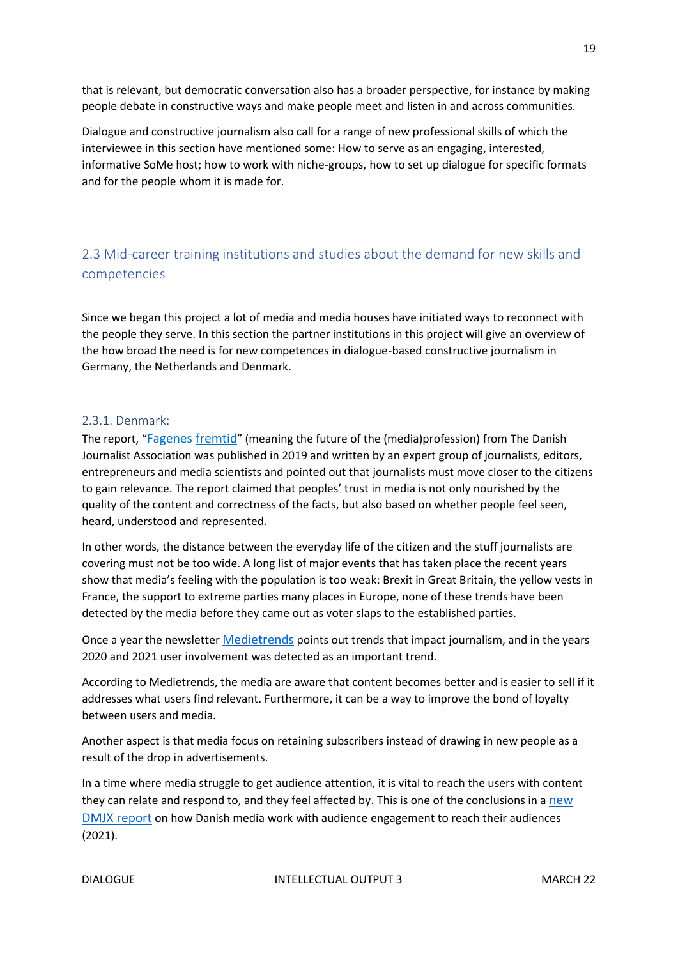that is relevant, but democratic conversation also has a broader perspective, for instance by making people debate in constructive ways and make people meet and listen in and across communities.

Dialogue and constructive journalism also call for a range of new professional skills of which the interviewee in this section have mentioned some: How to serve as an engaging, interested, informative SoMe host; how to work with niche-groups, how to set up dialogue for specific formats and for the people whom it is made for.

### <span id="page-18-0"></span>2.3 Mid-career training institutions and studies about the demand for new skills and competencies

Since we began this project a lot of media and media houses have initiated ways to reconnect with the people they serve. In this section the partner institutions in this project will give an overview of the how broad the need is for new competences in dialogue-based constructive journalism in Germany, the Netherlands and Denmark.

#### <span id="page-18-1"></span>2.3.1. Denmark:

The report, "[Fagenes fremtid](https://journalistforbundet.dk/journalistfagets-fremtid)" (meaning the future of the (media)profession) from The Danish Journalist Association was published in 2019 and written by an expert group of journalists, editors, entrepreneurs and media scientists and pointed out that journalists must move closer to the citizens to gain relevance. The report claimed that peoples' trust in media is not only nourished by the quality of the content and correctness of the facts, but also based on whether people feel seen, heard, understood and represented.

In other words, the distance between the everyday life of the citizen and the stuff journalists are covering must not be too wide. A long list of major events that has taken place the recent years show that media's feeling with the population is too weak: Brexit in Great Britain, the yellow vests in France, the support to extreme parties many places in Europe, none of these trends have been detected by the media before they came out as voter slaps to the established parties.

Once a year the newsletter [Medietrends](https://www.getrevue.co/profile/Medietrends/issues/medietrends-2022-10-tendenser-der-praeger-medierne-i-ar-970612) points out trends that impact journalism, and in the years 2020 and 2021 user involvement was detected as an important trend.

According to Medietrends, the media are aware that content becomes better and is easier to sell if it addresses what users find relevant. Furthermore, it can be a way to improve the bond of loyalty between users and media.

Another aspect is that media focus on retaining subscribers instead of drawing in new people as a result of the drop in advertisements.

In a time where media struggle to get audience attention, it is vital to reach the users with content they can relate and respond to, and they feel affected by. This is one of the conclusions in a [new](https://www.ucviden.dk/da/publications/audience-engagement-i-praksis-hvordan-danske-publicistiske-medier)  [DMJX report](https://www.ucviden.dk/da/publications/audience-engagement-i-praksis-hvordan-danske-publicistiske-medier) on how Danish media work with audience engagement to reach their audiences (2021).

19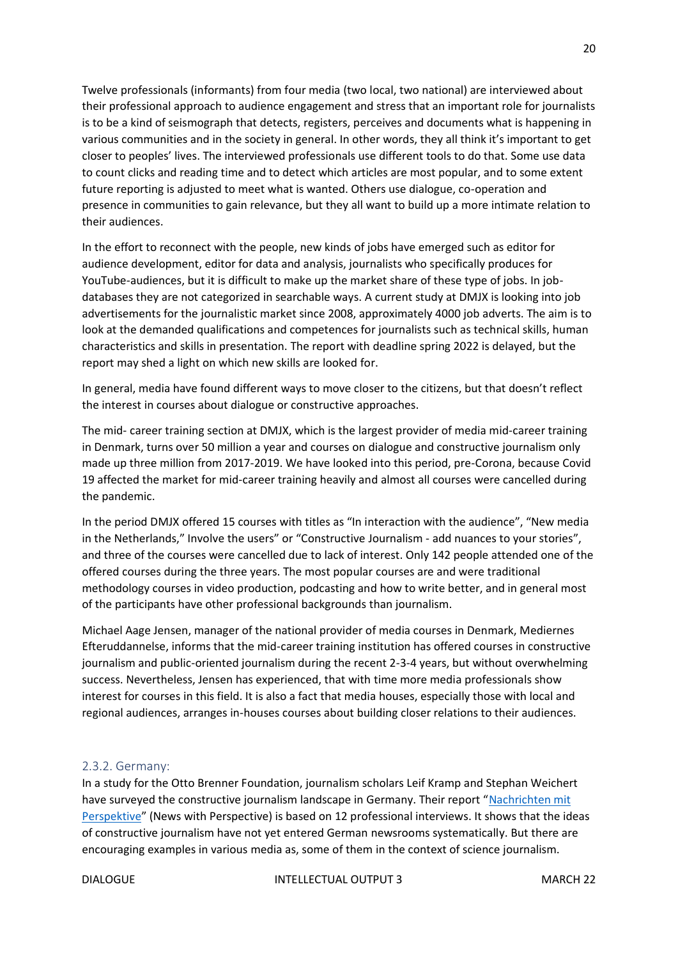Twelve professionals (informants) from four media (two local, two national) are interviewed about their professional approach to audience engagement and stress that an important role for journalists is to be a kind of seismograph that detects, registers, perceives and documents what is happening in various communities and in the society in general. In other words, they all think it's important to get closer to peoples' lives. The interviewed professionals use different tools to do that. Some use data to count clicks and reading time and to detect which articles are most popular, and to some extent future reporting is adjusted to meet what is wanted. Others use dialogue, co-operation and presence in communities to gain relevance, but they all want to build up a more intimate relation to their audiences.

In the effort to reconnect with the people, new kinds of jobs have emerged such as editor for audience development, editor for data and analysis, journalists who specifically produces for YouTube-audiences, but it is difficult to make up the market share of these type of jobs. In jobdatabases they are not categorized in searchable ways. A current study at DMJX is looking into job advertisements for the journalistic market since 2008, approximately 4000 job adverts. The aim is to look at the demanded qualifications and competences for journalists such as technical skills, human characteristics and skills in presentation. The report with deadline spring 2022 is delayed, but the report may shed a light on which new skills are looked for.

In general, media have found different ways to move closer to the citizens, but that doesn't reflect the interest in courses about dialogue or constructive approaches.

The mid- career training section at DMJX, which is the largest provider of media mid-career training in Denmark, turns over 50 million a year and courses on dialogue and constructive journalism only made up three million from 2017-2019. We have looked into this period, pre-Corona, because Covid 19 affected the market for mid-career training heavily and almost all courses were cancelled during the pandemic.

In the period DMJX offered 15 courses with titles as "In interaction with the audience", "New media in the Netherlands," Involve the users" or "Constructive Journalism - add nuances to your stories", and three of the courses were cancelled due to lack of interest. Only 142 people attended one of the offered courses during the three years. The most popular courses are and were traditional methodology courses in video production, podcasting and how to write better, and in general most of the participants have other professional backgrounds than journalism.

Michael Aage Jensen, manager of the national provider of media courses in Denmark, Mediernes Efteruddannelse, informs that the mid-career training institution has offered courses in constructive journalism and public-oriented journalism during the recent 2-3-4 years, but without overwhelming success. Nevertheless, Jensen has experienced, that with time more media professionals show interest for courses in this field. It is also a fact that media houses, especially those with local and regional audiences, arranges in-houses courses about building closer relations to their audiences.

#### <span id="page-19-0"></span>2.3.2. Germany:

In a study for the Otto Brenner Foundation, journalism scholars Leif Kramp and Stephan Weichert have surveyed the constructive journalism landscape in Germany. Their report "Nachrichten mit [Perspektive](https://www.otto-brenner-stiftung.de/wissenschaftsportal/informationsseiten-zu-studien/studien-2020/nachrichten-mit-perspektive/)" (News with Perspective) is based on 12 professional interviews. It shows that the ideas of constructive journalism have not yet entered German newsrooms systematically. But there are encouraging examples in various media as, some of them in the context of science journalism.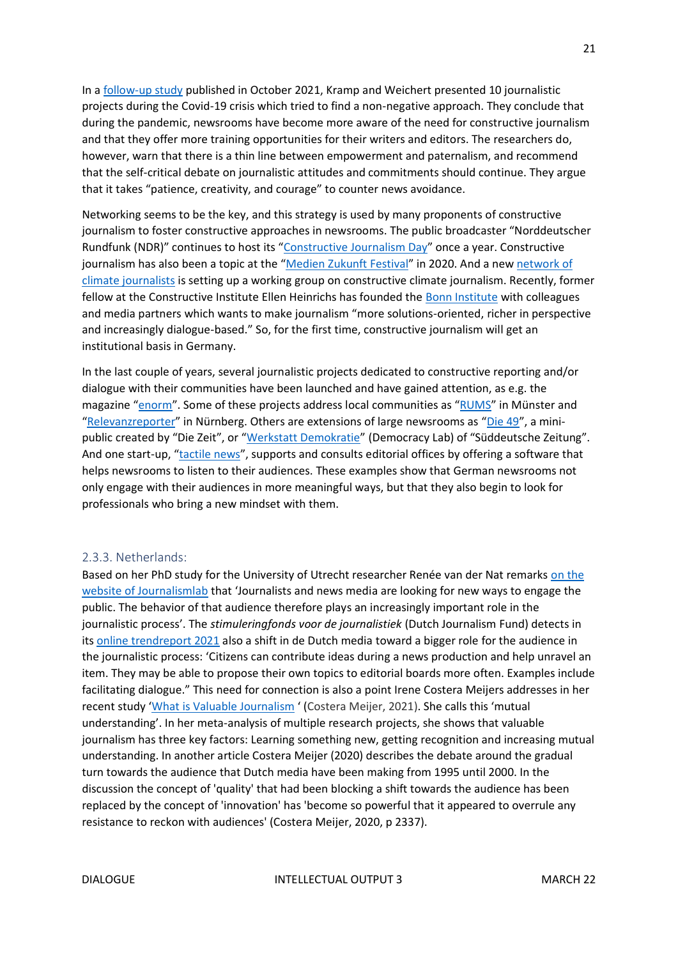In a [follow-up study](https://www.otto-brenner-stiftung.de/wissenschaftsportal/informationsseiten-zu-studien/konstruktiv-durch-krisen/) published in October 2021, Kramp and Weichert presented 10 journalistic projects during the Covid-19 crisis which tried to find a non-negative approach. They conclude that during the pandemic, newsrooms have become more aware of the need for constructive journalism and that they offer more training opportunities for their writers and editors. The researchers do, however, warn that there is a thin line between empowerment and paternalism, and recommend that the self-critical debate on journalistic attitudes and commitments should continue. They argue that it takes "patience, creativity, and courage" to counter news avoidance.

Networking seems to be the key, and this strategy is used by many proponents of constructive journalism to foster constructive approaches in newsrooms. The public broadcaster "Norddeutscher Rundfunk (NDR)" continues to host its "[Constructive Journalism Day](https://www.ndr.de/nachrichten/info/Constructive-Journalism-Day-2021-in-Hamburg,constructivejournalism136.html)" once a year. Constructive journalism has also been a topic at the "[Medien Zukunft Festival](https://medien-zukunft-festival.de/)" in 2020. And a new network of [climate journalists](https://klimajournalismus.de/) is setting up a working group on constructive climate journalism. Recently, former fellow at the Constructive Institute Ellen Heinrichs has founded the [Bonn Institute](https://www.bonn-institute.org/en/) with colleagues and media partners which wants to make journalism "more solutions-oriented, richer in perspective and increasingly dialogue-based." So, for the first time, constructive journalism will get an institutional basis in Germany.

In the last couple of years, several journalistic projects dedicated to constructive reporting and/or dialogue with their communities have been launched and have gained attention, as e.g. the magazine "[enorm](https://enorm-magazin.de/)". Some of these projects address local communities as "[RUMS](https://www.rums.ms/)" in Münster and "[Relevanzreporter](https://relevanzreporter.de/)" in Nürnberg. Others are extensions of large newsrooms as "[Die 49](https://www.zeit.de/serie/die-49)", a mini-public created by "Die Zeit", or "[Werkstatt Demokratie](https://www.sueddeutsche.de/thema/Werkstatt_Demokratie)" (Democracy Lab) of "Süddeutsche Zeitung". And one start-up, "[tactile news](https://tactile.news/)", supports and consults editorial offices by offering a software that helps newsrooms to listen to their audiences. These examples show that German newsrooms not only engage with their audiences in more meaningful ways, but that they also begin to look for professionals who bring a new mindset with them.

#### <span id="page-20-0"></span>2.3.3. Netherlands:

Based on her PhD study for the University of Utrecht researcher Renée van der Nat remarks [on the](https://www.journalismlab.nl/gebruikers-betrekken-bij-het-verhaal/)  [website of Journalismlab](https://www.journalismlab.nl/gebruikers-betrekken-bij-het-verhaal/) that 'Journalists and news media are looking for new ways to engage the public. The behavior of that audience therefore plays an increasingly important role in the journalistic process'. The *stimuleringfonds voor de journalistiek* (Dutch Journalism Fund) detects in its [online trendreport 2021](https://www.journalistiek2025.nl/trends.html) also a shift in de Dutch media toward a bigger role for the audience in the journalistic process: 'Citizens can contribute ideas during a news production and help unravel an item. They may be able to propose their own topics to editorial boards more often. Examples include facilitating dialogue." This need for connection is also a point Irene Costera Meijers addresses in her recent study 'What is Valuable Journalism ' (Costera Meijer, 2021). She calls this 'mutual understanding'. In her meta-analysis of multiple research projects, she shows that valuable journalism has three key factors: Learning something new, getting recognition and increasing mutual understanding. In another article Costera Meijer (2020) describes the debate around the gradual turn towards the audience that Dutch media have been making from 1995 until 2000. In the discussion the concept of 'quality' that had been blocking a shift towards the audience has been replaced by the concept of 'innovation' has 'become so powerful that it appeared to overrule any resistance to reckon with audiences' (Costera Meijer, 2020, p 2337).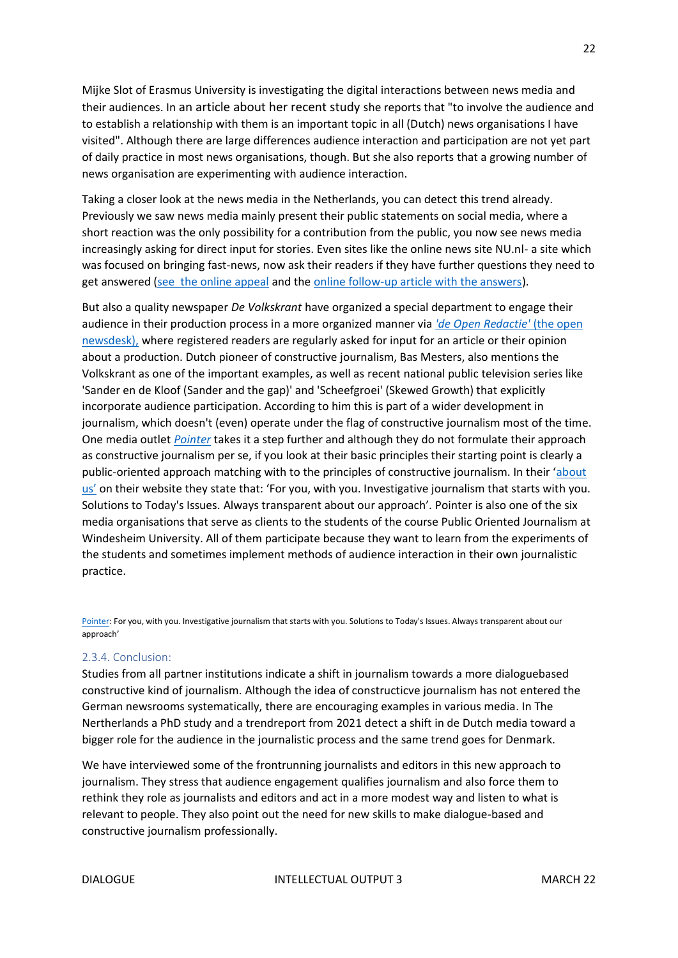Mijke Slot of Erasmus University is investigating the digital interactions between news media and their audiences. In [an article about her recent study](https://www.svdj.nl/klikt-het-betrokken-publiek-van-twee-kanten/) she reports that "to involve the audience and to establish a relationship with them is an important topic in all (Dutch) news organisations I have visited". Although there are large differences audience interaction and participation are not yet part of daily practice in most news organisations, though. But she also reports that a growing number of news organisation are experimenting with audience interaction.

Taking a closer look at the news media in the Netherlands, you can detect this trend already. Previously we saw news media mainly present their public statements on social media, where a short reaction was the only possibility for a contribution from the public, you now see news media increasingly asking for direct input for stories. Even sites like the online news site NU.nl- a site which was focused on bringing fast-news, now ask their readers if they have further questions they need to get answered [\(see the online appeal](https://www.nu.nl/strijd-in-afghanistan/6153323/wat-wil-jij-nog-weten-over-de-afghaanse-evacuaties-en-de-nasleep-hiervan.html) and the [online follow-up article with the answers\)](https://www.nu.nl/strijd-in-afghanistan/6153377/dit-zijn-de-antwoorden-op-jullie-vragen-over-de-evacuaties-uit-afghanistan.html).

But also a quality newspaper *De Volkskrant* have organized a special department to engage their audience in their production process in a more organized manner via *['de Open Redactie'](https://openredactie.volkskrant.nl/)* (the open [newsdesk\),](https://openredactie.volkskrant.nl/) where registered readers are regularly asked for input for an article or their opinion about a production. Dutch pioneer of constructive journalism, Bas Mesters, also mentions the Volkskrant as one of the important examples, as well as recent national public television series like 'Sander en de Kloof (Sander and the gap)' and 'Scheefgroei' (Skewed Growth) that explicitly incorporate audience participation. According to him this is part of a wider development in journalism, which doesn't (even) operate under the flag of constructive journalism most of the time. One media outlet *[Pointer](https://pointer.kro-ncrv.nl/)* takes it a step further and although they do not formulate their approach as constructive journalism per se, if you look at their basic principles their starting point is clearly a public-oriented approach matching with to the principles of constructive journalism. In their '[about](https://pointer.kro-ncrv.nl/over-ons)  [us'](https://pointer.kro-ncrv.nl/over-ons) on their website they state that: 'For you, with you. Investigative journalism that starts with you. Solutions to Today's Issues. Always transparent about our approach'. Pointer is also one of the six media organisations that serve as clients to the students of the course Public Oriented Journalism at Windesheim University. All of them participate because they want to learn from the experiments of the students and sometimes implement methods of audience interaction in their own journalistic practice.

[Pointer:](https://pointer.kro-ncrv.nl/) For you, with you. Investigative journalism that starts with you. Solutions to Today's Issues. Always transparent about our approach'

#### 2.3.4. Conclusion:

Studies from all partner institutions indicate a shift in journalism towards a more dialoguebased constructive kind of journalism. Although the idea of constructicve journalism has not entered the German newsrooms systematically, there are encouraging examples in various media. In The Nertherlands a PhD study and a trendreport from 2021 detect a shift in de Dutch media toward a bigger role for the audience in the journalistic process and the same trend goes for Denmark.

We have interviewed some of the frontrunning journalists and editors in this new approach to journalism. They stress that audience engagement qualifies journalism and also force them to rethink they role as journalists and editors and act in a more modest way and listen to what is relevant to people. They also point out the need for new skills to make dialogue-based and constructive journalism professionally.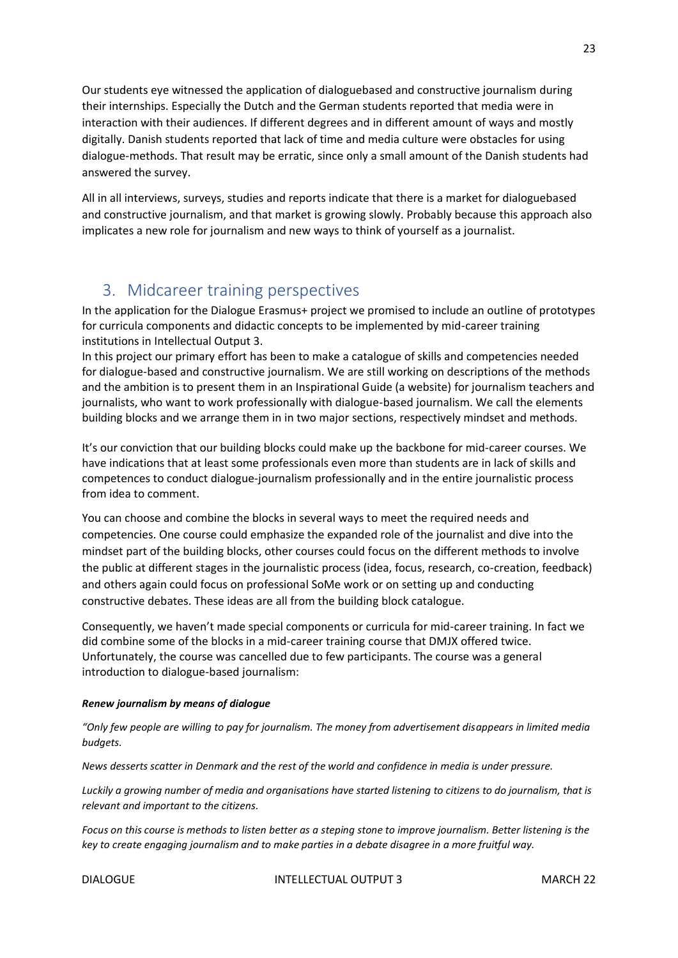Our students eye witnessed the application of dialoguebased and constructive journalism during their internships. Especially the Dutch and the German students reported that media were in interaction with their audiences. If different degrees and in different amount of ways and mostly digitally. Danish students reported that lack of time and media culture were obstacles for using dialogue-methods. That result may be erratic, since only a small amount of the Danish students had answered the survey.

All in all interviews, surveys, studies and reports indicate that there is a market for dialoguebased and constructive journalism, and that market is growing slowly. Probably because this approach also implicates a new role for journalism and new ways to think of yourself as a journalist.

# <span id="page-22-0"></span>3. Midcareer training perspectives

In the application for the Dialogue Erasmus+ project we promised to include an outline of prototypes for curricula components and didactic concepts to be implemented by mid-career training institutions in Intellectual Output 3.

In this project our primary effort has been to make a catalogue of skills and competencies needed for dialogue-based and constructive journalism. We are still working on descriptions of the methods and the ambition is to present them in an Inspirational Guide (a website) for journalism teachers and journalists, who want to work professionally with dialogue-based journalism. We call the elements building blocks and we arrange them in in two major sections, respectively mindset and methods.

It's our conviction that our building blocks could make up the backbone for mid-career courses. We have indications that at least some professionals even more than students are in lack of skills and competences to conduct dialogue-journalism professionally and in the entire journalistic process from idea to comment.

You can choose and combine the blocks in several ways to meet the required needs and competencies. One course could emphasize the expanded role of the journalist and dive into the mindset part of the building blocks, other courses could focus on the different methods to involve the public at different stages in the journalistic process (idea, focus, research, co-creation, feedback) and others again could focus on professional SoMe work or on setting up and conducting constructive debates. These ideas are all from the building block catalogue.

Consequently, we haven't made special components or curricula for mid-career training. In fact we did combine some of the blocks in a mid-career training course that DMJX offered twice. Unfortunately, the course was cancelled due to few participants. The course was a general introduction to dialogue-based journalism:

#### *Renew journalism by means of dialogue*

*"Only few people are willing to pay for journalism. The money from advertisement disappears in limited media budgets.*

*News desserts scatter in Denmark and the rest of the world and confidence in media is under pressure.*

*Luckily a growing number of media and organisations have started listening to citizens to do journalism, that is relevant and important to the citizens.*

*Focus on this course is methods to listen better as a steping stone to improve journalism. Better listening is the key to create engaging journalism and to make parties in a debate disagree in a more fruitful way.*